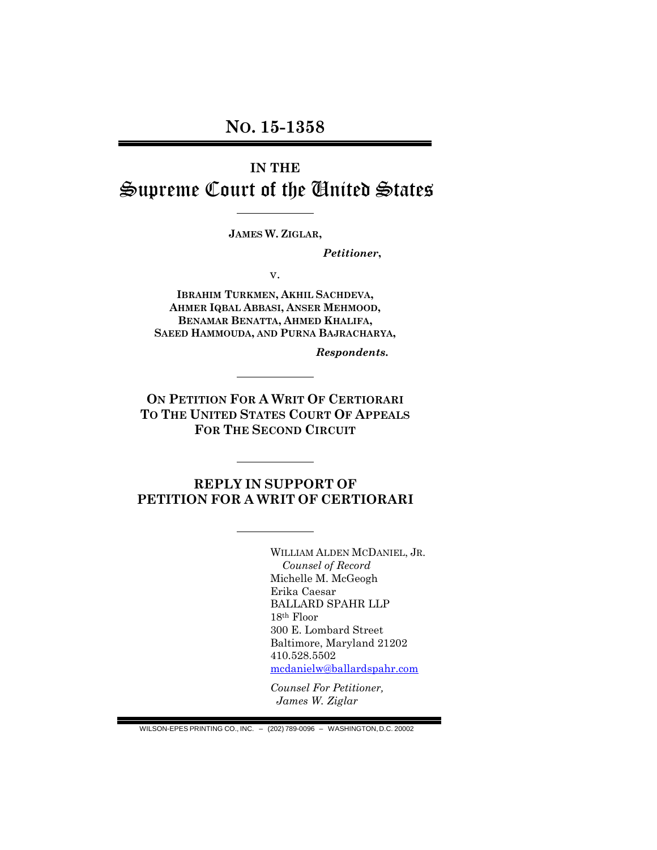## **IN THE** Supreme Court of the United States

**JAMES W. ZIGLAR,**

*Petitioner***,**

v.

**IBRAHIM TURKMEN, AKHIL SACHDEVA, AHMER IQBAL ABBASI, ANSER MEHMOOD, BENAMAR BENATTA, AHMED KHALIFA, SAEED HAMMOUDA, AND PURNA BAJRACHARYA,**

*Respondents***.**

**ON PETITION FOR A WRIT OF CERTIORARI TO THE UNITED STATES COURT OF APPEALS FOR THE SECOND CIRCUIT**

### **REPLY IN SUPPORT OF PETITION FOR A WRIT OF CERTIORARI**

WILLIAM ALDEN MCDANIEL, JR. *Counsel of Record* Michelle M. McGeogh Erika Caesar BALLARD SPAHR LLP 18th Floor 300 E. Lombard Street Baltimore, Maryland 21202 410.528.5502 [mcdanielw@ballardspahr.com](mailto:mcdanielw@ballardspahr.com)

*Counsel For Petitioner, James W. Ziglar*

WILSON-EPES PRINTING CO., INC. – (202) 789-0096 – WASHINGTON,D.C. 20002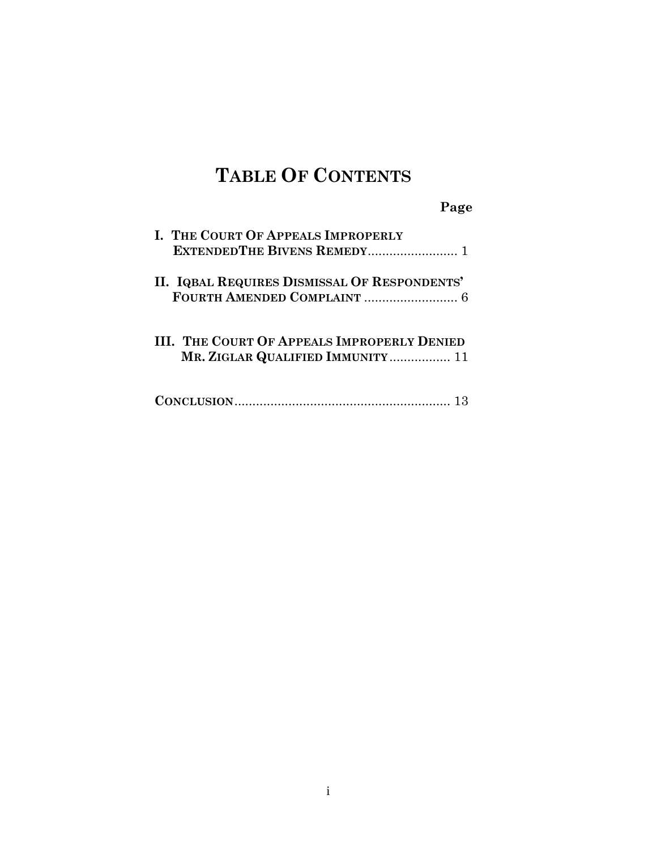# **TABLE OF CONTENTS**

|                                                                                        | Page |
|----------------------------------------------------------------------------------------|------|
| I. THE COURT OF APPEALS IMPROPERLY                                                     |      |
| II. IQBAL REQUIRES DISMISSAL OF RESPONDENTS'                                           |      |
| <b>III. THE COURT OF APPEALS IMPROPERLY DENIED</b><br>MR. ZIGLAR QUALIFIED IMMUNITY 11 |      |
|                                                                                        |      |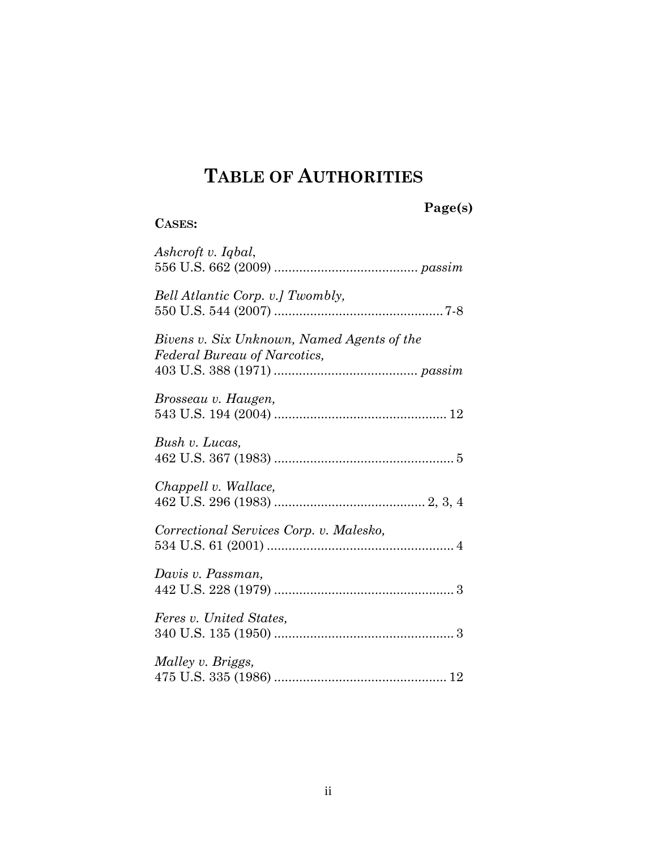## **TABLE OF AUTHORITIES**

## **Page(s)**

### **CASES:**

| Ashcroft v. Iqbal,                                                         |
|----------------------------------------------------------------------------|
| Bell Atlantic Corp. v.] Twombly,                                           |
| Bivens v. Six Unknown, Named Agents of the<br>Federal Bureau of Narcotics, |
| Brosseau v. Haugen,                                                        |
| Bush v. Lucas,                                                             |
| Chappell v. Wallace,                                                       |
| Correctional Services Corp. v. Malesko,                                    |
| Davis v. Passman,                                                          |
| Feres v. United States,                                                    |
| Malley v. Briggs,                                                          |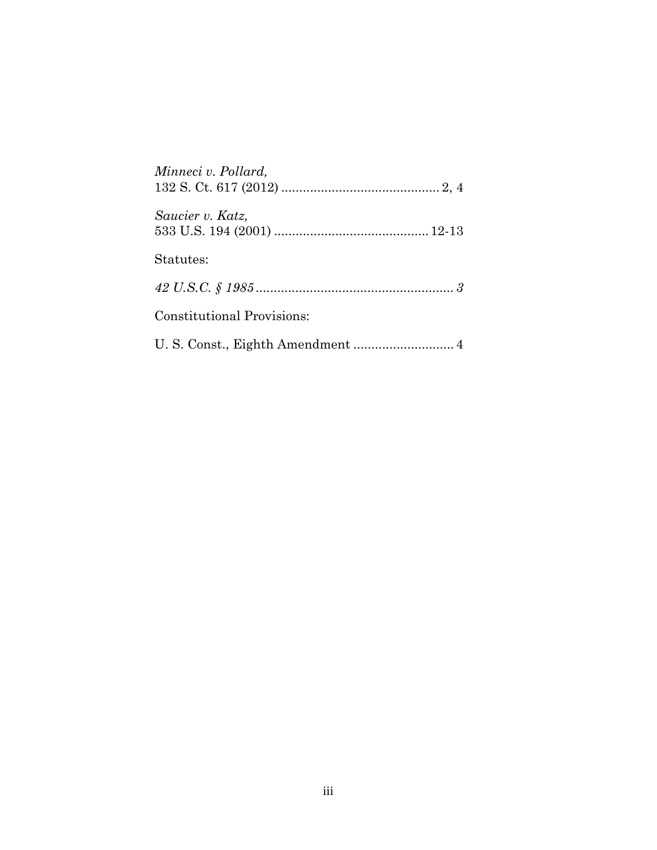| Minneci v. Pollard,               |
|-----------------------------------|
| Saucier v. Katz,                  |
| Statutes:                         |
|                                   |
| <b>Constitutional Provisions:</b> |
|                                   |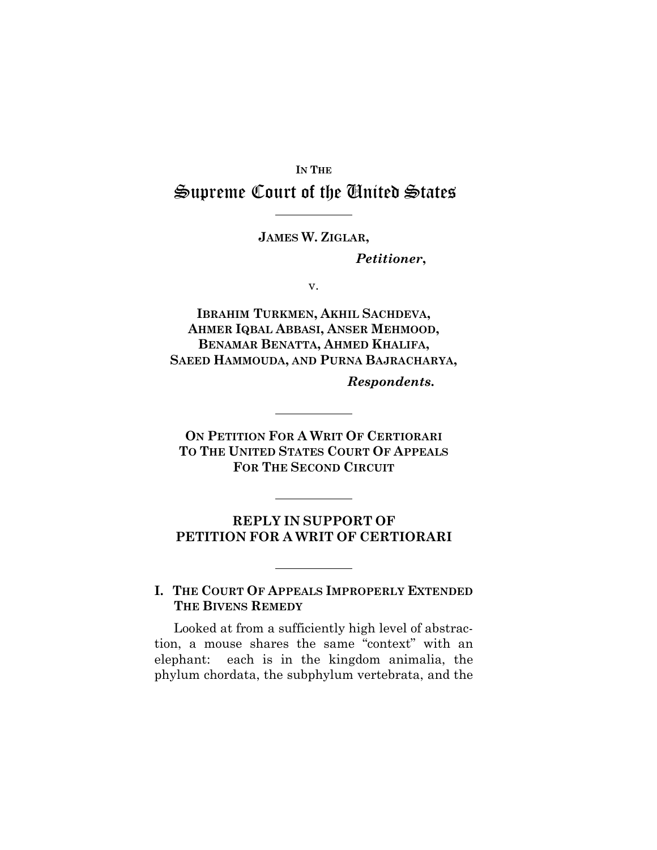### **IN THE** Supreme Court of the United States

**JAMES W. ZIGLAR,**

*Petitioner***,**

v.

**IBRAHIM TURKMEN, AKHIL SACHDEVA, AHMER IQBAL ABBASI, ANSER MEHMOOD, BENAMAR BENATTA, AHMED KHALIFA, SAEED HAMMOUDA, AND PURNA BAJRACHARYA,**

*Respondents***.**

**ON PETITION FOR A WRIT OF CERTIORARI TO THE UNITED STATES COURT OF APPEALS FOR THE SECOND CIRCUIT**

### **REPLY IN SUPPORT OF PETITION FOR A WRIT OF CERTIORARI**

### **I. THE COURT OF APPEALS IMPROPERLY EXTENDED THE BIVENS REMEDY**

Looked at from a sufficiently high level of abstraction, a mouse shares the same "context" with an elephant: each is in the kingdom animalia, the phylum chordata, the subphylum vertebrata, and the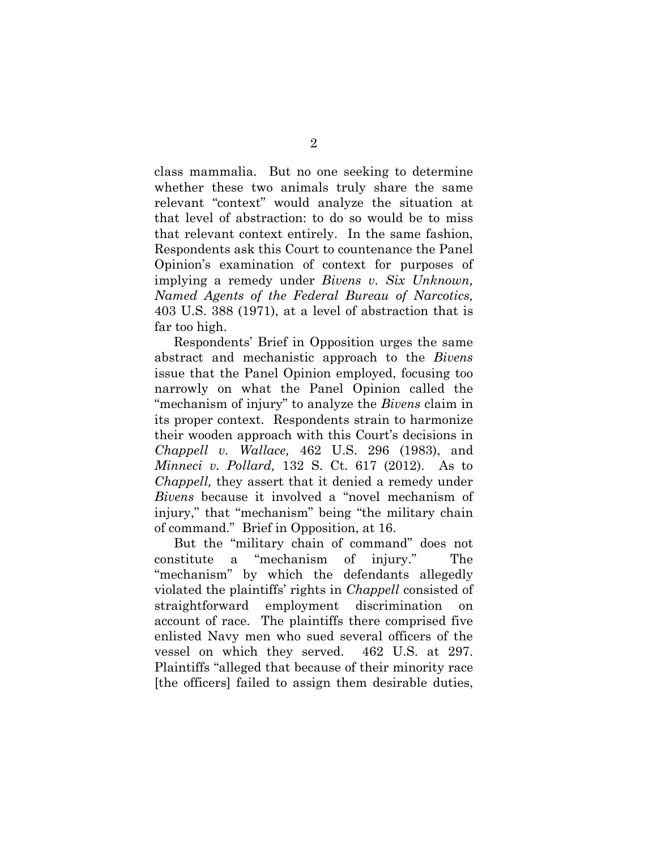class mammalia. But no one seeking to determine whether these two animals truly share the same relevant "context" would analyze the situation at that level of abstraction: to do so would be to miss that relevant context entirely. In the same fashion, Respondents ask this Court to countenance the Panel Opinion's examination of context for purposes of implying a remedy under *Bivens v. Six Unknown, Named Agents of the Federal Bureau of Narcotics,*  403 U.S. 388 (1971), at a level of abstraction that is far too high.

Respondents' Brief in Opposition urges the same abstract and mechanistic approach to the *Bivens*  issue that the Panel Opinion employed, focusing too narrowly on what the Panel Opinion called the "mechanism of injury" to analyze the *Bivens* claim in its proper context. Respondents strain to harmonize their wooden approach with this Court's decisions in *Chappell v. Wallace,* 462 U.S. 296 (1983), and *Minneci v. Pollard,* 132 S. Ct. 617 (2012). As to *Chappell,* they assert that it denied a remedy under *Bivens* because it involved a "novel mechanism of injury," that "mechanism" being "the military chain of command." Brief in Opposition, at 16.

But the "military chain of command" does not constitute a "mechanism of injury." The "mechanism" by which the defendants allegedly violated the plaintiffs' rights in *Chappell* consisted of straightforward employment discrimination on account of race. The plaintiffs there comprised five enlisted Navy men who sued several officers of the vessel on which they served. 462 U.S. at 297. Plaintiffs "alleged that because of their minority race [the officers] failed to assign them desirable duties,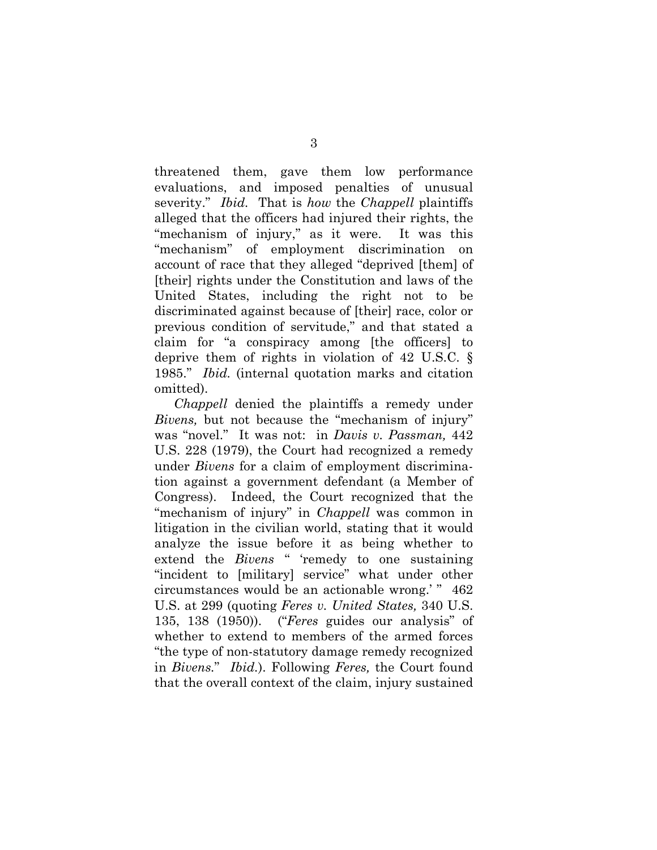threatened them, gave them low performance evaluations, and imposed penalties of unusual severity." *Ibid.* That is *how* the *Chappell* plaintiffs alleged that the officers had injured their rights, the "mechanism of injury," as it were. It was this "mechanism" of employment discrimination on account of race that they alleged "deprived [them] of [their] rights under the Constitution and laws of the United States, including the right not to be discriminated against because of [their] race, color or previous condition of servitude," and that stated a claim for "a conspiracy among [the officers] to deprive them of rights in violation of [42 U.S.C. §](https://1.next.westlaw.com/Link/Document/FullText?findType=L&pubNum=1000546&cite=42USCAS1985&originatingDoc=Ia09ab3a19c9a11d993e6d35cc61aab4a&refType=LQ&originationContext=document&transitionType=DocumentItem&contextData=(sc.UserEnteredCitation))  [1985.](https://1.next.westlaw.com/Link/Document/FullText?findType=L&pubNum=1000546&cite=42USCAS1985&originatingDoc=Ia09ab3a19c9a11d993e6d35cc61aab4a&refType=LQ&originationContext=document&transitionType=DocumentItem&contextData=(sc.UserEnteredCitation))" *Ibid.* (internal quotation marks and citation omitted).

*Chappell* denied the plaintiffs a remedy under *Bivens,* but not because the "mechanism of injury" was "novel." It was not: in *Davis v. Passman,* 442 U.S. 228 (1979), the Court had recognized a remedy under *Bivens* for a claim of employment discrimination against a government defendant (a Member of Congress). Indeed, the Court recognized that the "mechanism of injury" in *Chappell* was common in litigation in the civilian world, stating that it would analyze the issue before it as being whether to extend the *Bivens* " 'remedy to one sustaining "incident to [military] service" what under other circumstances would be an actionable wrong.' " 462 U.S. at 299 (quoting *Feres v. United States,* 340 U.S. 135, 138 (1950)). ("*Feres* guides our analysis" of whether to extend to members of the armed forces "the type of non-statutory damage remedy recognized in *Bivens.*" *Ibid.*). Following *Feres,* the Court found that the overall context of the claim, injury sustained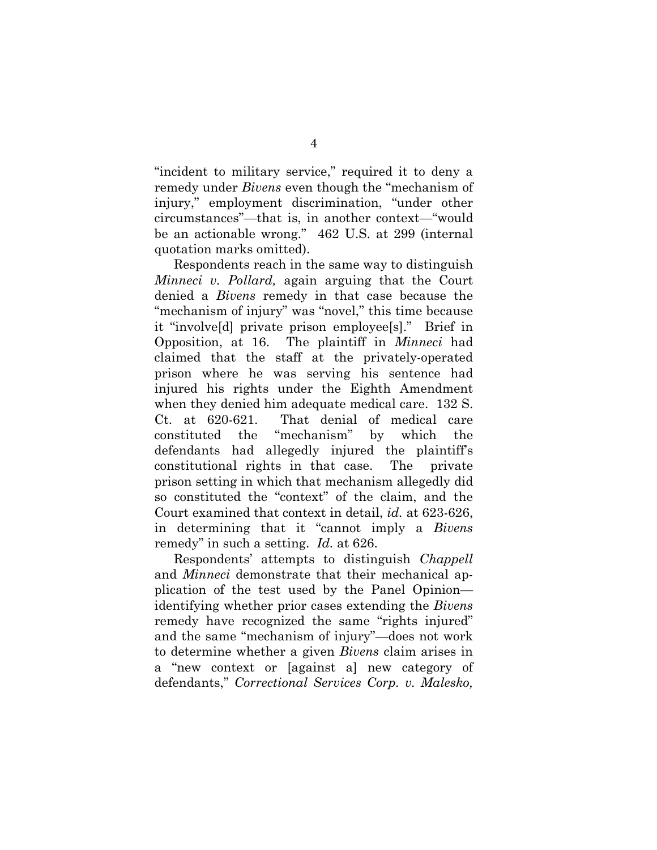"incident to military service," required it to deny a remedy under *Bivens* even though the "mechanism of injury," employment discrimination, "under other circumstances"—that is, in another context—"would be an actionable wrong." 462 U.S. at 299 (internal quotation marks omitted).

Respondents reach in the same way to distinguish *Minneci v. Pollard,* again arguing that the Court denied a *Bivens* remedy in that case because the "mechanism of injury" was "novel," this time because it "involve[d] private prison employee[s]." Brief in Opposition, at 16. The plaintiff in *Minneci* had claimed that the staff at the privately-operated prison where he was serving his sentence had injured his rights under the Eighth Amendment when they denied him adequate medical care. 132 S. Ct. at 620-621. That denial of medical care constituted the "mechanism" by which the defendants had allegedly injured the plaintiff's constitutional rights in that case. The private prison setting in which that mechanism allegedly did so constituted the "context" of the claim, and the Court examined that context in detail, *id.* at 623-626, in determining that it "cannot imply a *Bivens*  remedy" in such a setting. *Id.* at 626.

Respondents' attempts to distinguish *Chappell*  and *Minneci* demonstrate that their mechanical application of the test used by the Panel Opinion identifying whether prior cases extending the *Bivens*  remedy have recognized the same "rights injured" and the same "mechanism of injury"—does not work to determine whether a given *Bivens* claim arises in a "new context or [against a] new category of defendants," *Correctional Services Corp. v. Malesko,*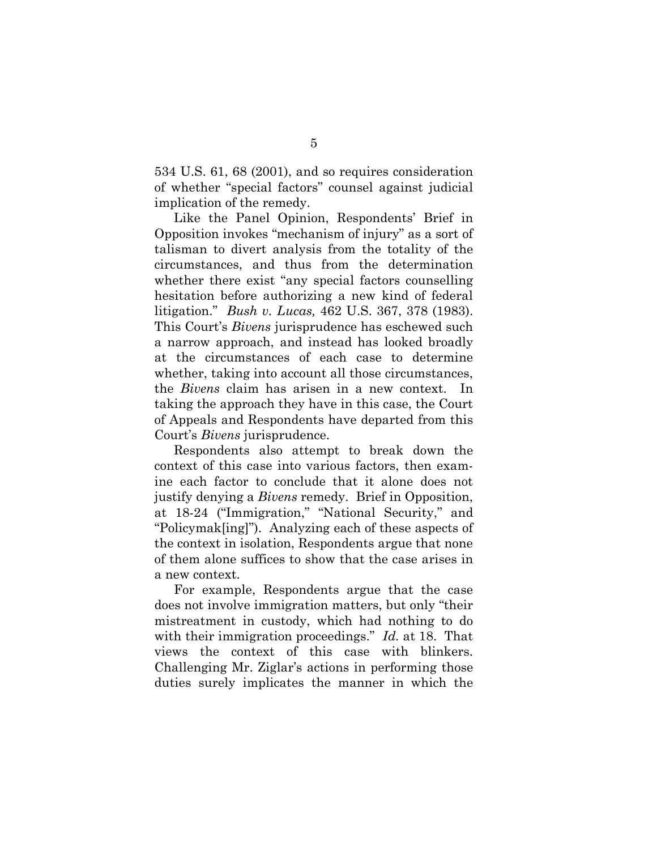534 U.S. 61, 68 (2001), and so requires consideration of whether "special factors" counsel against judicial implication of the remedy.

Like the Panel Opinion, Respondents' Brief in Opposition invokes "mechanism of injury" as a sort of talisman to divert analysis from the totality of the circumstances, and thus from the determination whether there exist "any special factors counselling hesitation before authorizing a new kind of federal litigation." *Bush v. Lucas,* 462 U.S. 367, 378 (1983). This Court's *Bivens* jurisprudence has eschewed such a narrow approach, and instead has looked broadly at the circumstances of each case to determine whether, taking into account all those circumstances. the *Bivens* claim has arisen in a new context. In taking the approach they have in this case, the Court of Appeals and Respondents have departed from this Court's *Bivens* jurisprudence.

Respondents also attempt to break down the context of this case into various factors, then examine each factor to conclude that it alone does not justify denying a *Bivens* remedy. Brief in Opposition, at 18-24 ("Immigration," "National Security," and "Policymak[ing]"). Analyzing each of these aspects of the context in isolation, Respondents argue that none of them alone suffices to show that the case arises in a new context.

For example, Respondents argue that the case does not involve immigration matters, but only "their mistreatment in custody, which had nothing to do with their immigration proceedings." *Id.* at 18. That views the context of this case with blinkers. Challenging Mr. Ziglar's actions in performing those duties surely implicates the manner in which the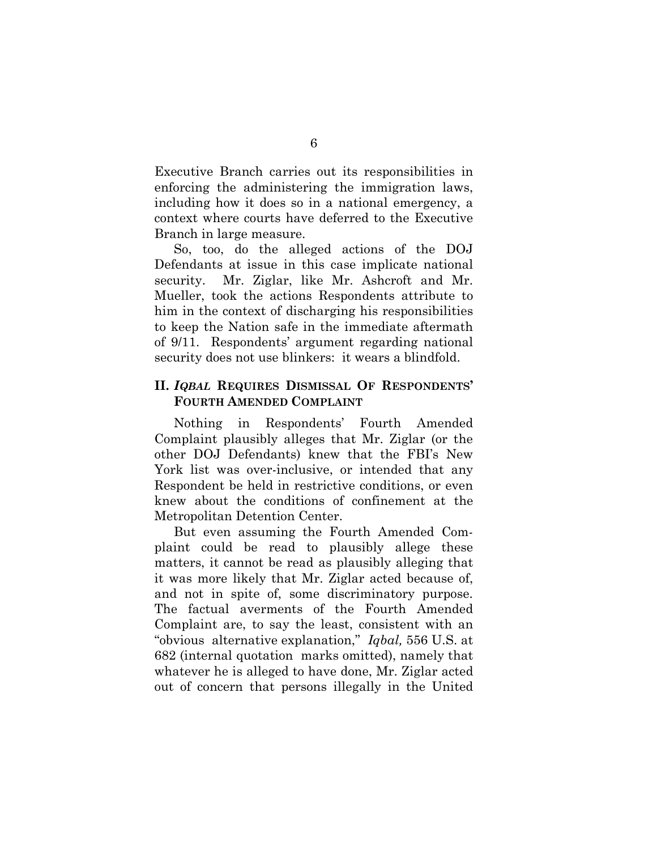Executive Branch carries out its responsibilities in enforcing the administering the immigration laws, including how it does so in a national emergency, a context where courts have deferred to the Executive Branch in large measure.

So, too, do the alleged actions of the DOJ Defendants at issue in this case implicate national security. Mr. Ziglar, like Mr. Ashcroft and Mr. Mueller, took the actions Respondents attribute to him in the context of discharging his responsibilities to keep the Nation safe in the immediate aftermath of 9/11. Respondents' argument regarding national security does not use blinkers: it wears a blindfold.

#### **II.** *IQBAL* **REQUIRES DISMISSAL OF RESPONDENTS' FOURTH AMENDED COMPLAINT**

Nothing in Respondents' Fourth Amended Complaint plausibly alleges that Mr. Ziglar (or the other DOJ Defendants) knew that the FBI's New York list was over-inclusive, or intended that any Respondent be held in restrictive conditions, or even knew about the conditions of confinement at the Metropolitan Detention Center.

But even assuming the Fourth Amended Complaint could be read to plausibly allege these matters, it cannot be read as plausibly alleging that it was more likely that Mr. Ziglar acted because of, and not in spite of, some discriminatory purpose. The factual averments of the Fourth Amended Complaint are, to say the least, consistent with an "obvious alternative explanation," *Iqbal,* 556 U.S. at 682 (internal quotation marks omitted), namely that whatever he is alleged to have done, Mr. Ziglar acted out of concern that persons illegally in the United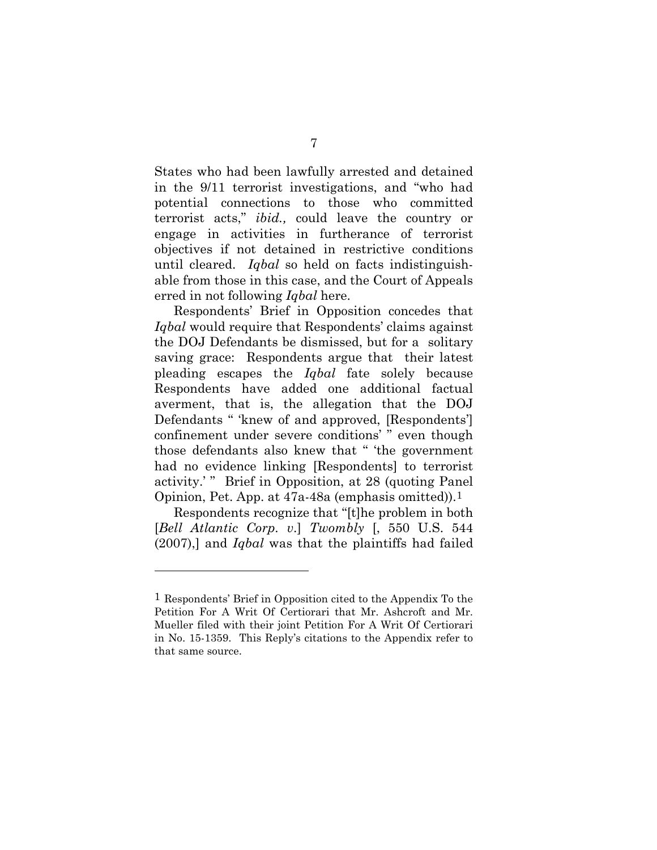States who had been lawfully arrested and detained in the 9/11 terrorist investigations, and "who had potential connections to those who committed terrorist acts," *ibid.,* could leave the country or engage in activities in furtherance of terrorist objectives if not detained in restrictive conditions until cleared. *Iqbal* so held on facts indistinguishable from those in this case, and the Court of Appeals erred in not following *Iqbal* here.

Respondents' Brief in Opposition concedes that *Iqbal* would require that Respondents' claims against the DOJ Defendants be dismissed, but for a solitary saving grace: Respondents argue that their latest pleading escapes the *Iqbal* fate solely because Respondents have added one additional factual averment, that is, the allegation that the DOJ Defendants " 'knew of and approved, [Respondents'] confinement under severe conditions' " even though those defendants also knew that " 'the government had no evidence linking [Respondents] to terrorist activity.' " Brief in Opposition, at 28 (quoting Panel Opinion, Pet. App. at 47a-48a (emphasis omitted)).[1](#page-10-0)

Respondents recognize that "[t]he problem in both [*Bell Atlantic Corp*. *v*.] *Twombly* [, 550 U.S. 544 (2007),] and *Iqbal* was that the plaintiffs had failed

 $\overline{a}$ 

<span id="page-10-0"></span><sup>1</sup> Respondents' Brief in Opposition cited to the Appendix To the Petition For A Writ Of Certiorari that Mr. Ashcroft and Mr. Mueller filed with their joint Petition For A Writ Of Certiorari in No. 15-1359. This Reply's citations to the Appendix refer to that same source.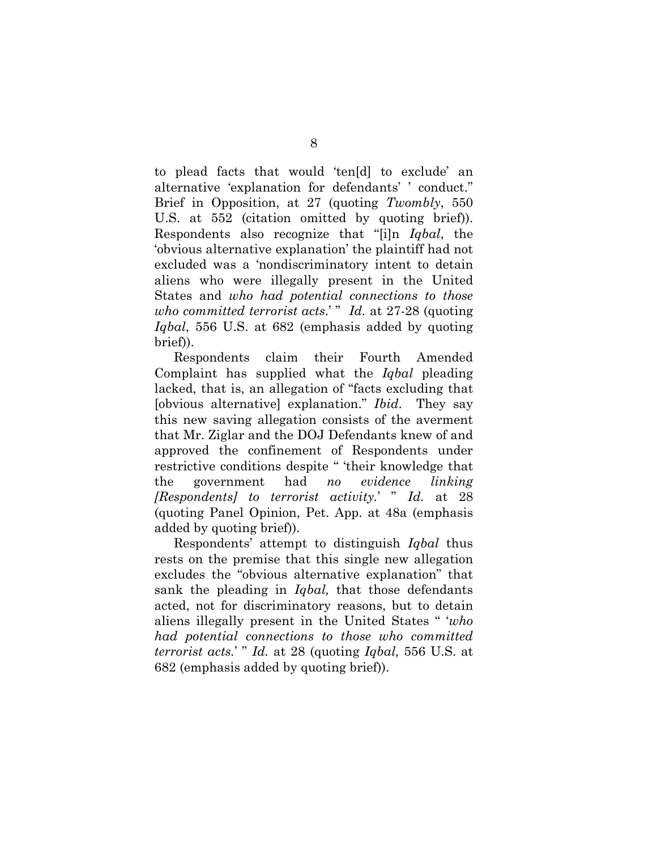to plead facts that would 'ten[d] to exclude' an alternative 'explanation for defendants' ' conduct." Brief in Opposition, at 27 (quoting *Twombly*, 550 U.S. at 552 (citation omitted by quoting brief)). Respondents also recognize that "[i]n *Iqbal*, the 'obvious alternative explanation' the plaintiff had not excluded was a 'nondiscriminatory intent to detain aliens who were illegally present in the United States and *who had potential connections to those who committed terrorist acts.*' " *Id.* at 27-28 (quoting *Iqbal*, 556 U.S. at 682 (emphasis added by quoting brief)).

Respondents claim their Fourth Amended Complaint has supplied what the *Iqbal* pleading lacked, that is, an allegation of "facts excluding that [obvious alternative] explanation." *Ibid*. They say this new saving allegation consists of the averment that Mr. Ziglar and the DOJ Defendants knew of and approved the confinement of Respondents under restrictive conditions despite " 'their knowledge that the government had *no evidence linking [Respondents] to terrorist activity.*' " *Id.* at 28 (quoting Panel Opinion, Pet. App. at 48a (emphasis added by quoting brief)).

Respondents' attempt to distinguish *Iqbal* thus rests on the premise that this single new allegation excludes the "obvious alternative explanation" that sank the pleading in *Iqbal,* that those defendants acted, not for discriminatory reasons, but to detain aliens illegally present in the United States " '*who had potential connections to those who committed terrorist acts.*' " *Id.* at 28 (quoting *Iqbal,* 556 U.S. at 682 (emphasis added by quoting brief)).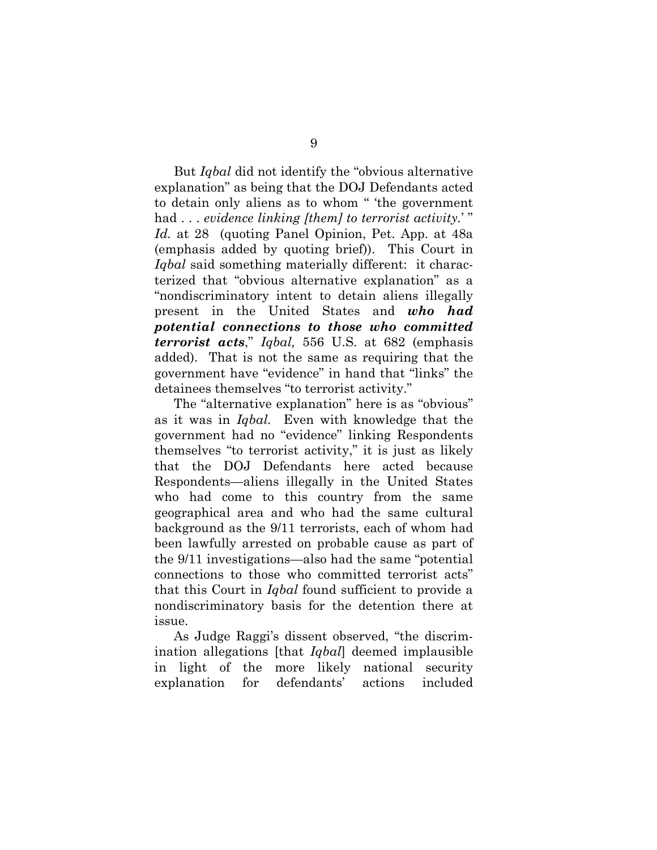But *Iqbal* did not identify the "obvious alternative explanation" as being that the DOJ Defendants acted to detain only aliens as to whom " 'the government had . . . *evidence linking [them] to terrorist activity.*' " *Id.* at 28 (quoting Panel Opinion, Pet. App. at 48a (emphasis added by quoting brief)). This Court in *Iqbal* said something materially different: it characterized that "obvious alternative explanation" as a "nondiscriminatory intent to detain aliens illegally present in the United States and *who had potential connections to those who committed terrorist acts*," *Iqbal,* 556 U.S. at 682 (emphasis added). That is not the same as requiring that the government have "evidence" in hand that "links" the detainees themselves "to terrorist activity."

The "alternative explanation" here is as "obvious" as it was in *Iqbal.* Even with knowledge that the government had no "evidence" linking Respondents themselves "to terrorist activity," it is just as likely that the DOJ Defendants here acted because Respondents—aliens illegally in the United States who had come to this country from the same geographical area and who had the same cultural background as the 9/11 terrorists, each of whom had been lawfully arrested on probable cause as part of the 9/11 investigations—also had the same "potential connections to those who committed terrorist acts" that this Court in *Iqbal* found sufficient to provide a nondiscriminatory basis for the detention there at issue.

As Judge Raggi's dissent observed, "the discrimination allegations [that *Iqbal*] deemed implausible in light of the more likely national security explanation for defendants' actions included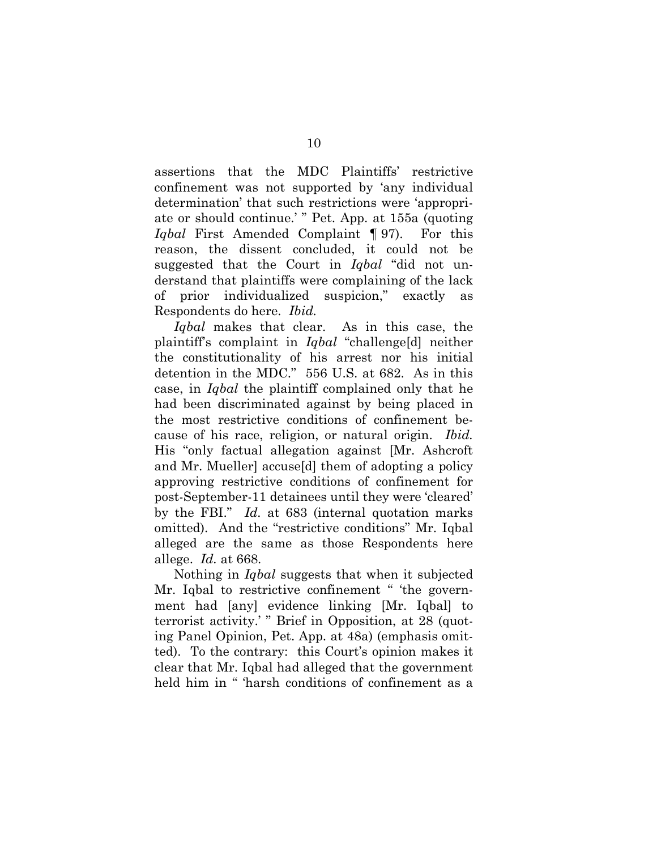assertions that the MDC Plaintiffs' restrictive confinement was not supported by 'any individual determination' that such restrictions were 'appropriate or should continue.' " Pet. App. at 155a (quoting *Iqbal* First Amended Complaint ¶ 97). For this reason, the dissent concluded, it could not be suggested that the Court in *Iqbal* "did not understand that plaintiffs were complaining of the lack of prior individualized suspicion," exactly as Respondents do here. *Ibid.*

*Iqbal* makes that clear. As in this case, the plaintiff's complaint in *Iqbal* "challenge[d] neither the constitutionality of his arrest nor his initial detention in the MDC." 556 U.S. at 682. As in this case, in *Iqbal* the plaintiff complained only that he had been discriminated against by being placed in the most restrictive conditions of confinement because of his race, religion, or natural origin. *Ibid.*  His "only factual allegation against [Mr. Ashcroft and Mr. Mueller] accuse[d] them of adopting a policy approving restrictive conditions of confinement for post-September-11 detainees until they were 'cleared' by the FBI." *Id.* at 683 (internal quotation marks omitted). And the "restrictive conditions" Mr. Iqbal alleged are the same as those Respondents here allege. *Id.* at 668.

Nothing in *Iqbal* suggests that when it subjected Mr. Iqbal to restrictive confinement " 'the government had [any] evidence linking [Mr. Iqbal] to terrorist activity.' " Brief in Opposition, at 28 (quoting Panel Opinion, Pet. App. at 48a) (emphasis omitted). To the contrary: this Court's opinion makes it clear that Mr. Iqbal had alleged that the government held him in " 'harsh conditions of confinement as a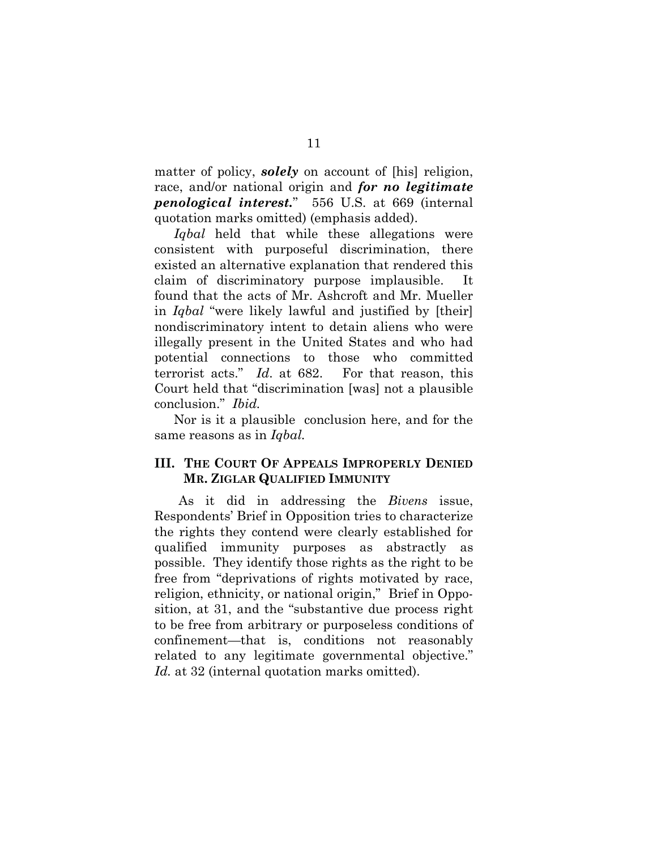matter of policy, *solely* on account of [his] religion, race, and/or national origin and *for no legitimate penological interest.*" 556 U.S. at 669 (internal quotation marks omitted) (emphasis added).

*Iqbal* held that while these allegations were consistent with purposeful discrimination, there existed an alternative explanation that rendered this claim of discriminatory purpose implausible. It found that the acts of Mr. Ashcroft and Mr. Mueller in *Iqbal* "were likely lawful and justified by [their] nondiscriminatory intent to detain aliens who were illegally present in the United States and who had potential connections to those who committed terrorist acts." *Id*. at 682. For that reason, this Court held that "discrimination [was] not a plausible conclusion." *Ibid.*

Nor is it a plausible conclusion here, and for the same reasons as in *Iqbal.* 

#### **III. THE COURT OF APPEALS IMPROPERLY DENIED MR. ZIGLAR QUALIFIED IMMUNITY**

As it did in addressing the *Bivens* issue, Respondents' Brief in Opposition tries to characterize the rights they contend were clearly established for qualified immunity purposes as abstractly as possible. They identify those rights as the right to be free from "deprivations of rights motivated by race, religion, ethnicity, or national origin," Brief in Opposition, at 31, and the "substantive due process right to be free from arbitrary or purposeless conditions of confinement—that is, conditions not reasonably related to any legitimate governmental objective." *Id.* at 32 (internal quotation marks omitted).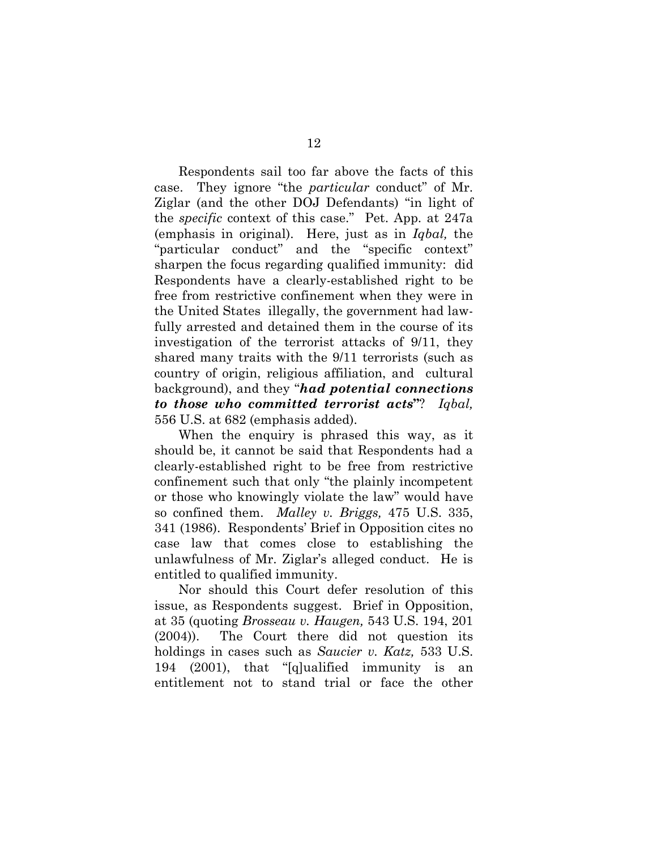Respondents sail too far above the facts of this case. They ignore "the *particular* conduct" of Mr. Ziglar (and the other DOJ Defendants) "in light of the *specific* context of this case." Pet. App. at 247a (emphasis in original). Here, just as in *Iqbal,* the "particular conduct" and the "specific context" sharpen the focus regarding qualified immunity: did Respondents have a clearly-established right to be free from restrictive confinement when they were in the United States illegally, the government had lawfully arrested and detained them in the course of its investigation of the terrorist attacks of 9/11, they shared many traits with the 9/11 terrorists (such as country of origin, religious affiliation, and cultural background), and they "*had potential connections to those who committed terrorist acts***"**?*Iqbal,*  556 U.S. at 682 (emphasis added).

When the enquiry is phrased this way, as it should be, it cannot be said that Respondents had a clearly-established right to be free from restrictive confinement such that only "the plainly incompetent or those who knowingly violate the law" would have so confined them. *Malley v. Briggs,* 475 U.S. 335, 341 (1986). Respondents' Brief in Opposition cites no case law that comes close to establishing the unlawfulness of Mr. Ziglar's alleged conduct. He is entitled to qualified immunity.

Nor should this Court defer resolution of this issue, as Respondents suggest. Brief in Opposition, at 35 (quoting *Brosseau v. Haugen,* 543 U.S. 194, 201 (2004)). The Court there did not question its holdings in cases such as *Saucier v. Katz,* 533 U.S. 194 (2001), that "[q]ualified immunity is an entitlement not to stand trial or face the other